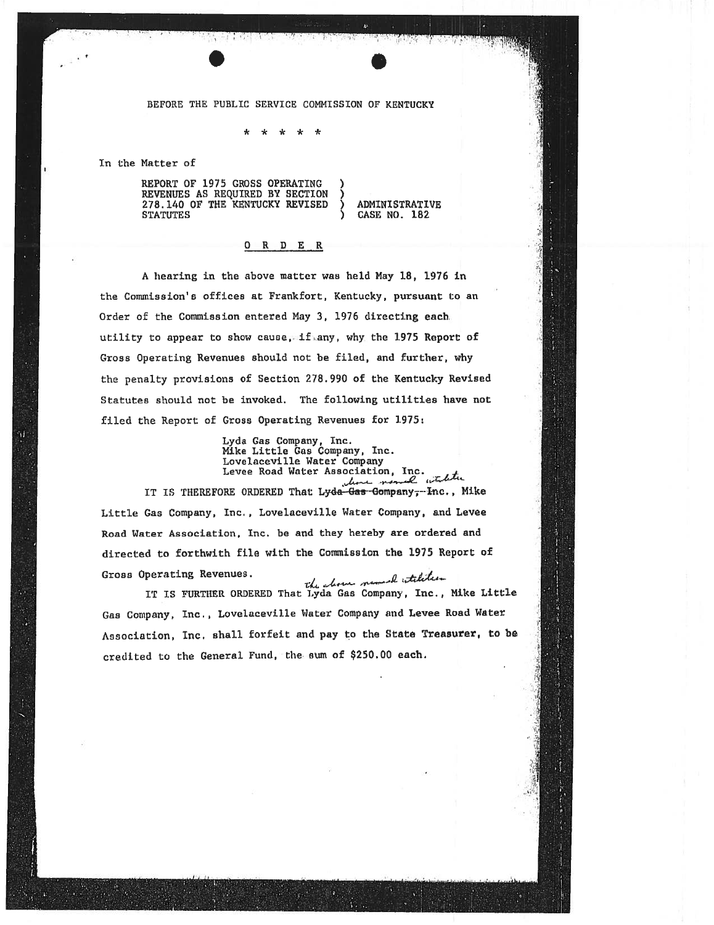## BEFORE THE PUBLIC SERVICE COMMISSION OF KENTUCKY

\* \* \* \* \*

In the Matter of

REPORT OF 1975 GROSS OPERATING<br>REVENUES AS REQUIRED BY SECTION REVENUES AS REQUIRED BY SECTION ) 278.140 OF THE KENTUCKY REVISED ) ADMINISTRATIVE

CASE NO. 182

## <sup>O</sup> <sup>R</sup> <sup>D</sup> ER

A hearing in the above matter was held May 18. 1976 in the Commission's offices at Frankfort, Kentucky, pursuant to an Order of the Commission entered May 3, 1976 directing each. utility to appear to show cause, if any, why the 1975 Report of Gross Operating Revenues should not be filed, and further, why the penalty provisions of Section 278.990 of the Kentucky Revised Statutes should not be invoked. The following utilities have not filed the Report of Gross Operating Revenues for 1975:

Lyda Gas Company, Inc. Mike Little Gas Company, Inc. Lovelaceville Water Company Levee Road Water Association, Inc. leave nomed white IT IS THEREFORE ORDERED That Lyda-Gas-Gompany, Inc., Mike Little Gas Company, Inc., Lovelaceville Water Company, and Levee Road Water Association, Inc. be and they hereby are ordered and directed to forthwith file with the Commission the <sup>1975</sup> Report of Gross Operating Revenues.

erating Revenues.<br>IT IS FURTHER ORDERED That Lyda Gas Company, Inc., Mike Little Gas Company, Inc., Lovelaceville Water Company and Levee Road Water Association, Inc. shall forfeit and pay to the State Treasurer, to be credited to the General Fund, the sum of \$250.00 each.